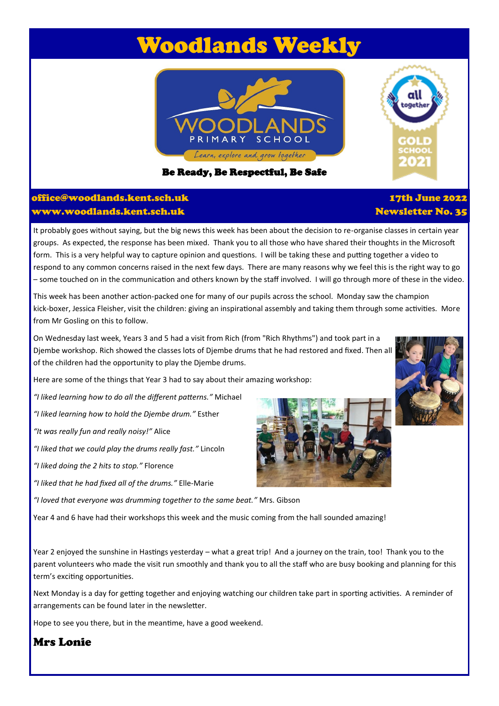# Woodlands Weekly



Be Ready, Be Respectful, Be Safe

#### office@woodlands.kent.sch.uk www.woodlands.kent.sch.uk

It probably goes without saying, but the big news this week has been about the decision to re-organise classes in certain year groups. As expected, the response has been mixed. Thank you to all those who have shared their thoughts in the Microsoft form. This is a very helpful way to capture opinion and questions. I will be taking these and putting together a video to respond to any common concerns raised in the next few days. There are many reasons why we feel this is the right way to go – some touched on in the communication and others known by the staff involved. I will go through more of these in the video.

This week has been another action-packed one for many of our pupils across the school. Monday saw the champion kick-boxer, Jessica Fleisher, visit the children: giving an inspirational assembly and taking them through some activities. More from Mr Gosling on this to follow.

On Wednesday last week, Years 3 and 5 had a visit from Rich (from "Rich Rhythms") and took part in a Djembe workshop. Rich showed the classes lots of Djembe drums that he had restored and fixed. Then all of the children had the opportunity to play the Djembe drums.

Here are some of the things that Year 3 had to say about their amazing workshop:

*"I liked learning how to do all the different patterns."* Michael

*"I liked learning how to hold the Djembe drum."* Esther

*"It was really fun and really noisy!"* Alice

*"I liked that we could play the drums really fast."* Lincoln

*"I liked doing the 2 hits to stop."* Florence

*"I liked that he had fixed all of the drums."* Elle-Marie

*"I loved that everyone was drumming together to the same beat."* Mrs. Gibson

Year 4 and 6 have had their workshops this week and the music coming from the hall sounded amazing!

Year 2 enjoyed the sunshine in Hastings yesterday – what a great trip! And a journey on the train, too! Thank you to the parent volunteers who made the visit run smoothly and thank you to all the staff who are busy booking and planning for this term's exciting opportunities.

Next Monday is a day for getting together and enjoying watching our children take part in sporting activities. A reminder of arrangements can be found later in the newsletter.

Hope to see you there, but in the meantime, have a good weekend.

## Mrs Lonie

#### 17th June 2022 Newsletter No. 35





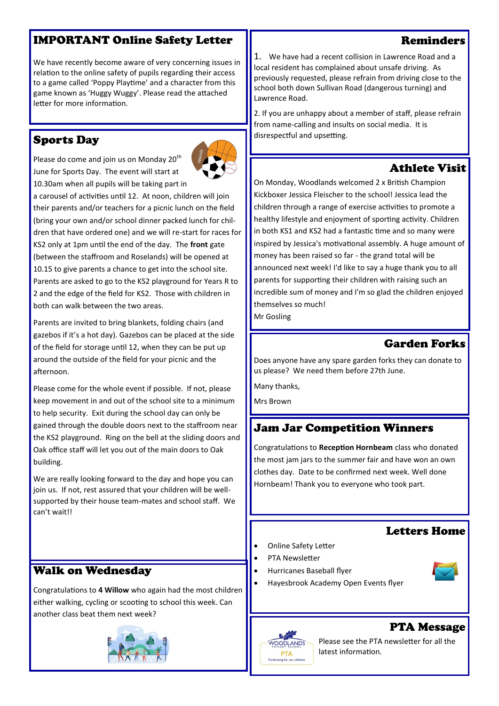# IMPORTANT Online Safety Letter

We have recently become aware of very concerning issues in relation to the online safety of pupils regarding their access to a game called 'Poppy Playtime' and a character from this game known as 'Huggy Wuggy'. Please read the attached letter for more information.

# Sports Day

Please do come and join us on Monday 20<sup>th</sup> June for Sports Day. The event will start at 10.30am when all pupils will be taking part in

a carousel of activities until 12. At noon, children will join their parents and/or teachers for a picnic lunch on the field (bring your own and/or school dinner packed lunch for children that have ordered one) and we will re-start for races for KS2 only at 1pm until the end of the day. The **front** gate (between the staffroom and Roselands) will be opened at 10.15 to give parents a chance to get into the school site. Parents are asked to go to the KS2 playground for Years R to 2 and the edge of the field for KS2. Those with children in both can walk between the two areas.

Parents are invited to bring blankets, folding chairs (and gazebos if it's a hot day). Gazebos can be placed at the side of the field for storage until 12, when they can be put up around the outside of the field for your picnic and the afternoon.

Please come for the whole event if possible. If not, please keep movement in and out of the school site to a minimum to help security. Exit during the school day can only be gained through the double doors next to the staffroom near the KS2 playground. Ring on the bell at the sliding doors and Oak office staff will let you out of the main doors to Oak building.

We are really looking forward to the day and hope you can join us. If not, rest assured that your children will be wellsupported by their house team-mates and school staff. We can't wait!!

Congratulations to **4 Willow** who again had the most children either walking, cycling or scooting to school this week. Can

Walk on Wednesday

another class beat them next week?

1. We have had a recent collision in Lawrence Road and a local resident has complained about unsafe driving. As previously requested, please refrain from driving close to the school both down Sullivan Road (dangerous turning) and Lawrence Road.

2. If you are unhappy about a member of staff, please refrain from name-calling and insults on social media. It is disrespectful and upsetting.

# Athlete Visit

On Monday, Woodlands welcomed 2 x British Champion Kickboxer Jessica Fleischer to the school! Jessica lead the children through a range of exercise activities to promote a healthy lifestyle and enjoyment of sporting activity. Children in both KS1 and KS2 had a fantastic time and so many were inspired by Jessica's motivational assembly. A huge amount of money has been raised so far - the grand total will be announced next week! I'd like to say a huge thank you to all parents for supporting their children with raising such an incredible sum of money and I'm so glad the children enjoyed themselves so much!

Mr Gosling

## Garden Forks

Does anyone have any spare garden forks they can donate to us please? We need them before 27th June.

Many thanks,

Mrs Brown

## Jam Jar Competition Winners

Congratulations to **Reception Hornbeam** class who donated the most jam jars to the summer fair and have won an own clothes day. Date to be confirmed next week. Well done Hornbeam! Thank you to everyone who took part.

#### Letters Home

- Online Safety Letter
- PTA Newsletter
- Hurricanes Baseball flyer
- Hayesbrook Academy Open Events flyer

#### PTA Message





Please see the PTA newsletter for all the latest information.

#### Reminders